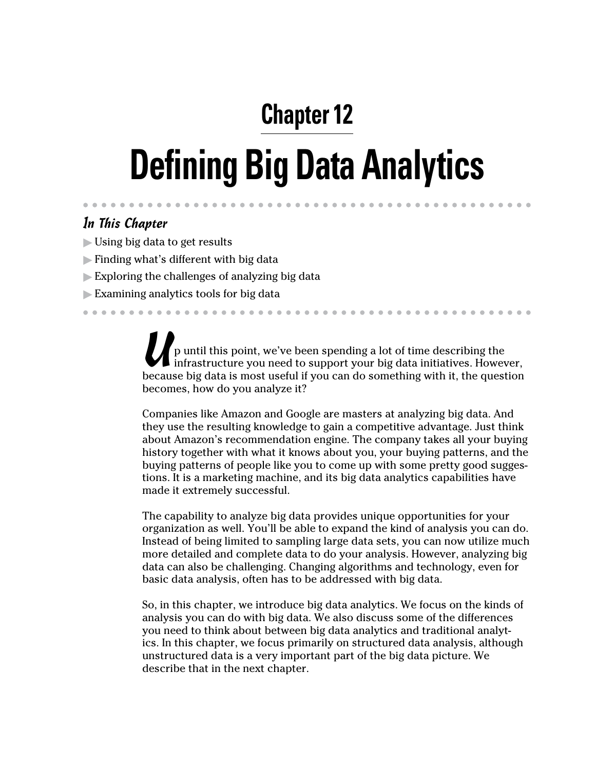## **Chapter 12**

# **Defining Big Data Analytics**

. . . . . . . . . . . . . . . . .

#### In This Chapter

 $\triangleright$  Using big data to get results

. . . . . . . . . . .

- ▶ Finding what's different with big data
- $\triangleright$  Exploring the challenges of analyzing big data
- ▶ Examining analytics tools for big data

p until this point, we've been spending a lot of time describing the infrastructure you need to support your big data initiatives. However, because big data is most useful if you can do something with it, the question becomes, how do you analyze it?

. . . . . . . . . . . . . . . . . .

Companies like Amazon and Google are masters at analyzing big data. And they use the resulting knowledge to gain a competitive advantage. Just think about Amazon's recommendation engine. The company takes all your buying history together with what it knows about you, your buying patterns, and the buying patterns of people like you to come up with some pretty good suggestions. It is a marketing machine, and its big data analytics capabilities have made it extremely successful.

The capability to analyze big data provides unique opportunities for your organization as well. You'll be able to expand the kind of analysis you can do. Instead of being limited to sampling large data sets, you can now utilize much more detailed and complete data to do your analysis. However, analyzing big data can also be challenging. Changing algorithms and technology, even for basic data analysis, often has to be addressed with big data.

So, in this chapter, we introduce big data analytics. We focus on the kinds of analysis you can do with big data. We also discuss some of the differences you need to think about between big data analytics and traditional analytics. In this chapter, we focus primarily on structured data analysis, although unstructured data is a very important part of the big data picture. We describe that in the next chapter.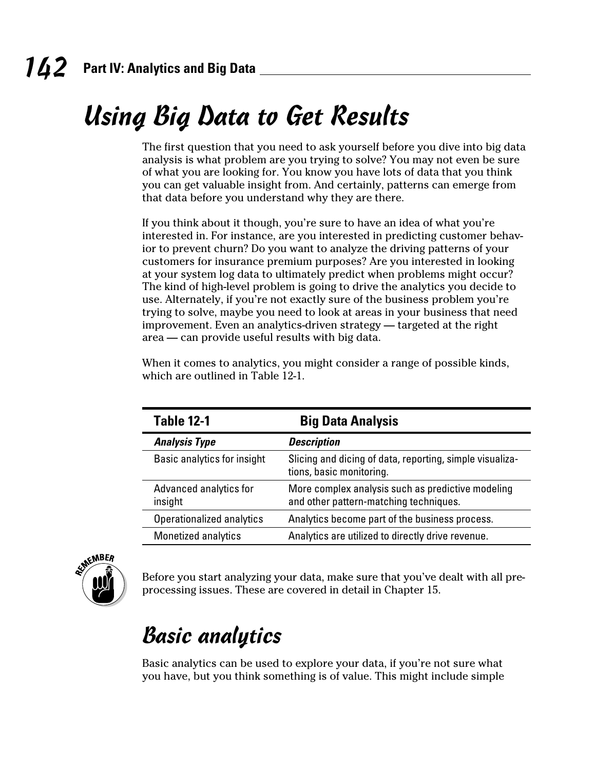## Using Big Data to Get Results

The first question that you need to ask yourself before you dive into big data analysis is what problem are you trying to solve? You may not even be sure of what you are looking for. You know you have lots of data that you think you can get valuable insight from. And certainly, patterns can emerge from that data before you understand why they are there.

If you think about it though, you're sure to have an idea of what you're interested in. For instance, are you interested in predicting customer behavior to prevent churn? Do you want to analyze the driving patterns of your customers for insurance premium purposes? Are you interested in looking at your system log data to ultimately predict when problems might occur? The kind of high-level problem is going to drive the analytics you decide to use. Alternately, if you're not exactly sure of the business problem you're trying to solve, maybe you need to look at areas in your business that need improvement. Even an analytics-driven strategy — targeted at the right area — can provide useful results with big data.

When it comes to analytics, you might consider a range of possible kinds, which are outlined in Table 12-1.

| <b>Table 12-1</b>                 | <b>Big Data Analysis</b>                                                                    |
|-----------------------------------|---------------------------------------------------------------------------------------------|
| <b>Analysis Type</b>              | <b>Description</b>                                                                          |
| Basic analytics for insight       | Slicing and dicing of data, reporting, simple visualiza-<br>tions, basic monitoring.        |
| Advanced analytics for<br>insight | More complex analysis such as predictive modeling<br>and other pattern-matching techniques. |
| Operationalized analytics         | Analytics become part of the business process.                                              |
| <b>Monetized analytics</b>        | Analytics are utilized to directly drive revenue.                                           |



Before you start analyzing your data, make sure that you've dealt with all preprocessing issues. These are covered in detail in Chapter 15.

### Basic analytics

Basic analytics can be used to explore your data, if you're not sure what you have, but you think something is of value. This might include simple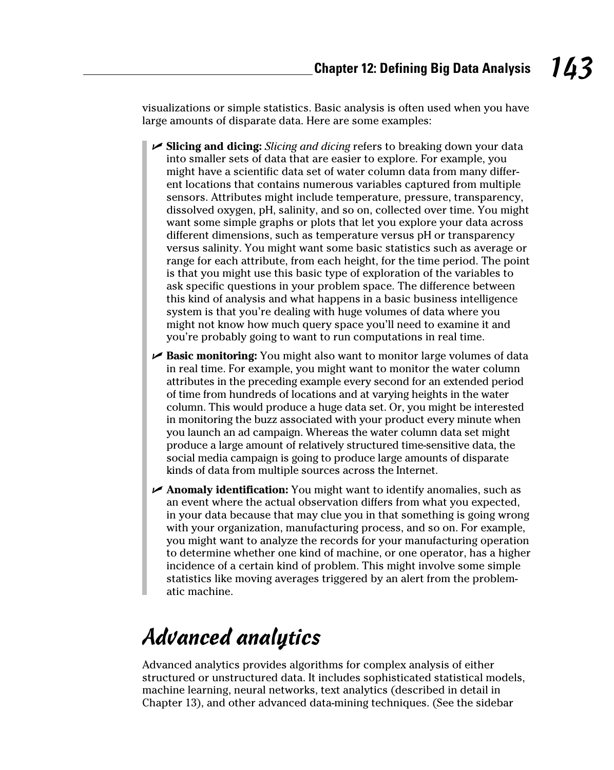visualizations or simple statistics. Basic analysis is often used when you have large amounts of disparate data. Here are some examples:

- ✓ **Slicing and dicing:** *Slicing and dicing* refers to breaking down your data into smaller sets of data that are easier to explore. For example, you might have a scientific data set of water column data from many different locations that contains numerous variables captured from multiple sensors. Attributes might include temperature, pressure, transparency, dissolved oxygen, pH, salinity, and so on, collected over time. You might want some simple graphs or plots that let you explore your data across different dimensions, such as temperature versus pH or transparency versus salinity. You might want some basic statistics such as average or range for each attribute, from each height, for the time period. The point is that you might use this basic type of exploration of the variables to ask specific questions in your problem space. The difference between this kind of analysis and what happens in a basic business intelligence system is that you're dealing with huge volumes of data where you might not know how much query space you'll need to examine it and you're probably going to want to run computations in real time.
- ✓ **Basic monitoring:** You might also want to monitor large volumes of data in real time. For example, you might want to monitor the water column attributes in the preceding example every second for an extended period of time from hundreds of locations and at varying heights in the water column. This would produce a huge data set. Or, you might be interested in monitoring the buzz associated with your product every minute when you launch an ad campaign. Whereas the water column data set might produce a large amount of relatively structured time-sensitive data, the social media campaign is going to produce large amounts of disparate kinds of data from multiple sources across the Internet.
- ✓ **Anomaly identification:** You might want to identify anomalies, such as an event where the actual observation differs from what you expected, in your data because that may clue you in that something is going wrong with your organization, manufacturing process, and so on. For example, you might want to analyze the records for your manufacturing operation to determine whether one kind of machine, or one operator, has a higher incidence of a certain kind of problem. This might involve some simple statistics like moving averages triggered by an alert from the problematic machine.

## Advanced analytics

Advanced analytics provides algorithms for complex analysis of either structured or unstructured data. It includes sophisticated statistical models, machine learning, neural networks, text analytics (described in detail in Chapter 13), and other advanced data-mining techniques. (See the sidebar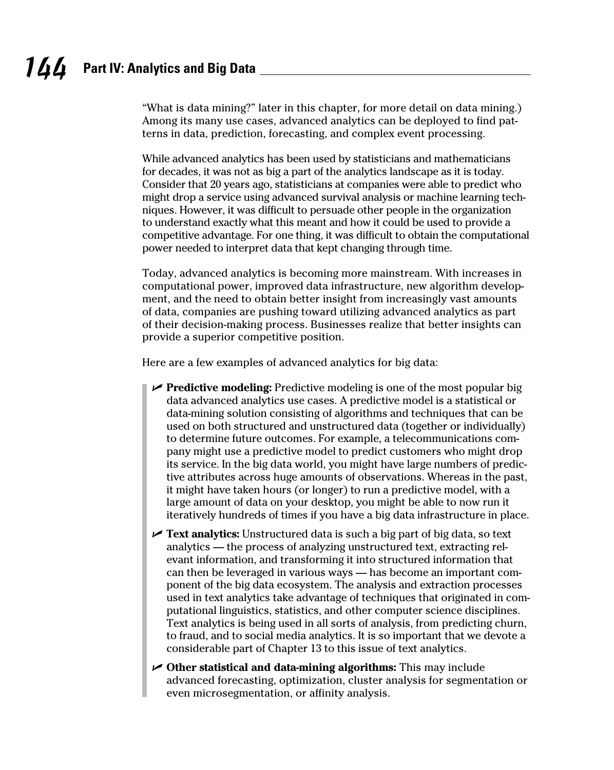"What is data mining?" later in this chapter, for more detail on data mining.) Among its many use cases, advanced analytics can be deployed to find patterns in data, prediction, forecasting, and complex event processing.

While advanced analytics has been used by statisticians and mathematicians for decades, it was not as big a part of the analytics landscape as it is today. Consider that 20 years ago, statisticians at companies were able to predict who might drop a service using advanced survival analysis or machine learning techniques. However, it was difficult to persuade other people in the organization to understand exactly what this meant and how it could be used to provide a competitive advantage. For one thing, it was difficult to obtain the computational power needed to interpret data that kept changing through time.

Today, advanced analytics is becoming more mainstream. With increases in computational power, improved data infrastructure, new algorithm development, and the need to obtain better insight from increasingly vast amounts of data, companies are pushing toward utilizing advanced analytics as part of their decision-making process. Businesses realize that better insights can provide a superior competitive position.

Here are a few examples of advanced analytics for big data:

- ✓ **Predictive modeling:** Predictive modeling is one of the most popular big data advanced analytics use cases. A predictive model is a statistical or data-mining solution consisting of algorithms and techniques that can be used on both structured and unstructured data (together or individually) to determine future outcomes. For example, a telecommunications company might use a predictive model to predict customers who might drop its service. In the big data world, you might have large numbers of predictive attributes across huge amounts of observations. Whereas in the past, it might have taken hours (or longer) to run a predictive model, with a large amount of data on your desktop, you might be able to now run it iteratively hundreds of times if you have a big data infrastructure in place.
- ✓ **Text analytics:** Unstructured data is such a big part of big data, so text analytics — the process of analyzing unstructured text, extracting relevant information, and transforming it into structured information that can then be leveraged in various ways — has become an important component of the big data ecosystem. The analysis and extraction processes used in text analytics take advantage of techniques that originated in computational linguistics, statistics, and other computer science disciplines. Text analytics is being used in all sorts of analysis, from predicting churn, to fraud, and to social media analytics. It is so important that we devote a considerable part of Chapter 13 to this issue of text analytics.
- ✓ **Other statistical and data-mining algorithms:** This may include advanced forecasting, optimization, cluster analysis for segmentation or even microsegmentation, or affinity analysis.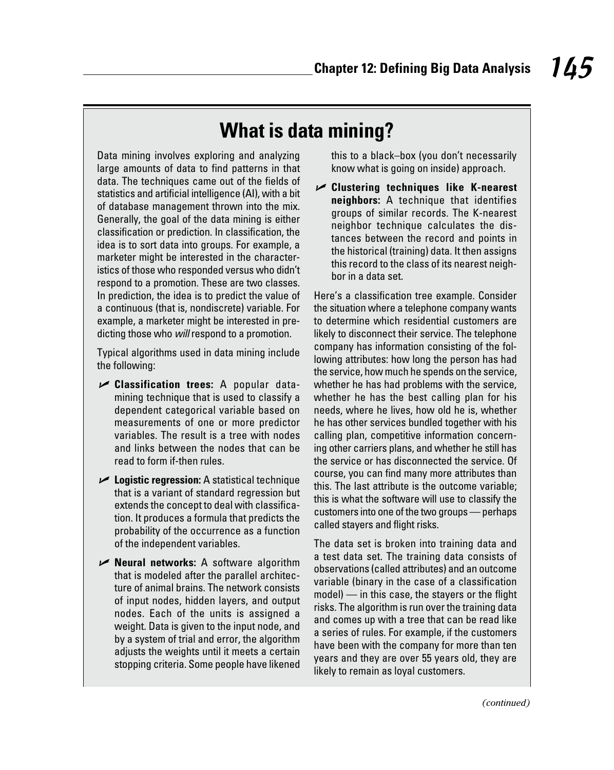#### **What is data mining?**

Data mining involves exploring and analyzing large amounts of data to find patterns in that data. The techniques came out of the fields of statistics and artificial intelligence (AI), with a bit of database management thrown into the mix. Generally, the goal of the data mining is either classification or prediction. In classification, the idea is to sort data into groups. For example, a marketer might be interested in the characteristics of those who responded versus who didn't respond to a promotion. These are two classes. In prediction, the idea is to predict the value of a continuous (that is, nondiscrete) variable. For example, a marketer might be interested in predicting those who *will* respond to a promotion.

Typical algorithms used in data mining include the following:

- ✓ **Classification trees:** A popular datamining technique that is used to classify a dependent categorical variable based on measurements of one or more predictor variables. The result is a tree with nodes and links between the nodes that can be read to form if-then rules.
- ✓ **Logistic regression:** A statistical technique that is a variant of standard regression but extends the concept to deal with classification. It produces a formula that predicts the probability of the occurrence as a function of the independent variables.
- ✓ **Neural networks:** A software algorithm that is modeled after the parallel architecture of animal brains. The network consists of input nodes, hidden layers, and output nodes. Each of the units is assigned a weight. Data is given to the input node, and by a system of trial and error, the algorithm adjusts the weights until it meets a certain stopping criteria. Some people have likened

this to a black–box (you don't necessarily know what is going on inside) approach.

✓ **Clustering techniques like K-nearest neighbors:** A technique that identifies groups of similar records. The K-nearest neighbor technique calculates the distances between the record and points in the historical (training) data. It then assigns this record to the class of its nearest neighbor in a data set.

Here's a classification tree example. Consider the situation where a telephone company wants to determine which residential customers are likely to disconnect their service. The telephone company has information consisting of the following attributes: how long the person has had the service, how much he spends on the service, whether he has had problems with the service, whether he has the best calling plan for his needs, where he lives, how old he is, whether he has other services bundled together with his calling plan, competitive information concerning other carriers plans, and whether he still has the service or has disconnected the service. Of course, you can find many more attributes than this. The last attribute is the outcome variable; this is what the software will use to classify the customers into one of the two groups — perhaps called stayers and flight risks.

The data set is broken into training data and a test data set. The training data consists of observations (called attributes) and an outcome variable (binary in the case of a classification model) — in this case, the stayers or the flight risks. The algorithm is run over the training data and comes up with a tree that can be read like a series of rules. For example, if the customers have been with the company for more than ten years and they are over 55 years old, they are likely to remain as loyal customers.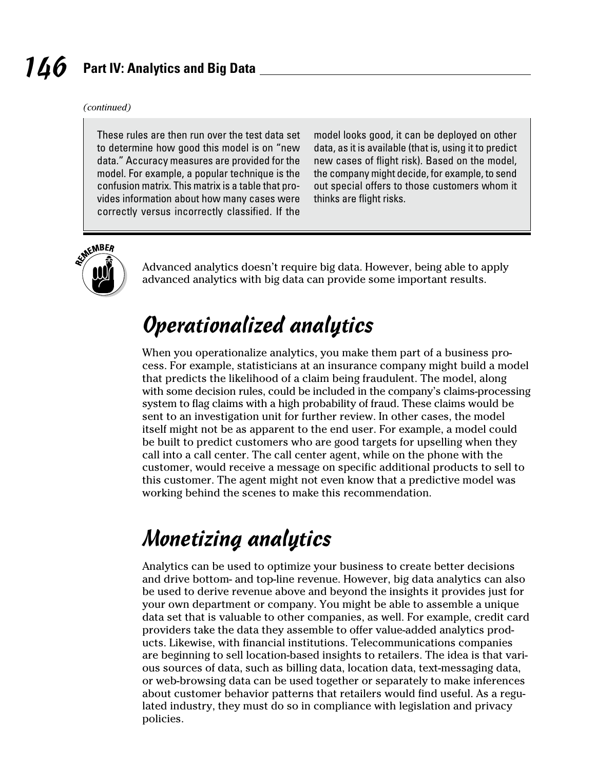*(continued)*

These rules are then run over the test data set to determine how good this model is on "new data." Accuracy measures are provided for the model. For example, a popular technique is the confusion matrix. This matrix is a table that provides information about how many cases were correctly versus incorrectly classified. If the

model looks good, it can be deployed on other data, as it is available (that is, using it to predict new cases of flight risk). Based on the model, the company might decide, for example, to send out special offers to those customers whom it thinks are flight risks.



Advanced analytics doesn't require big data. However, being able to apply advanced analytics with big data can provide some important results.

## Operationalized analytics

When you operationalize analytics, you make them part of a business process. For example, statisticians at an insurance company might build a model that predicts the likelihood of a claim being fraudulent. The model, along with some decision rules, could be included in the company's claims-processing system to flag claims with a high probability of fraud. These claims would be sent to an investigation unit for further review. In other cases, the model itself might not be as apparent to the end user. For example, a model could be built to predict customers who are good targets for upselling when they call into a call center. The call center agent, while on the phone with the customer, would receive a message on specific additional products to sell to this customer. The agent might not even know that a predictive model was working behind the scenes to make this recommendation.

### Monetizing analytics

Analytics can be used to optimize your business to create better decisions and drive bottom- and top-line revenue. However, big data analytics can also be used to derive revenue above and beyond the insights it provides just for your own department or company. You might be able to assemble a unique data set that is valuable to other companies, as well. For example, credit card providers take the data they assemble to offer value-added analytics products. Likewise, with financial institutions. Telecommunications companies are beginning to sell location-based insights to retailers. The idea is that various sources of data, such as billing data, location data, text-messaging data, or web-browsing data can be used together or separately to make inferences about customer behavior patterns that retailers would find useful. As a regulated industry, they must do so in compliance with legislation and privacy policies.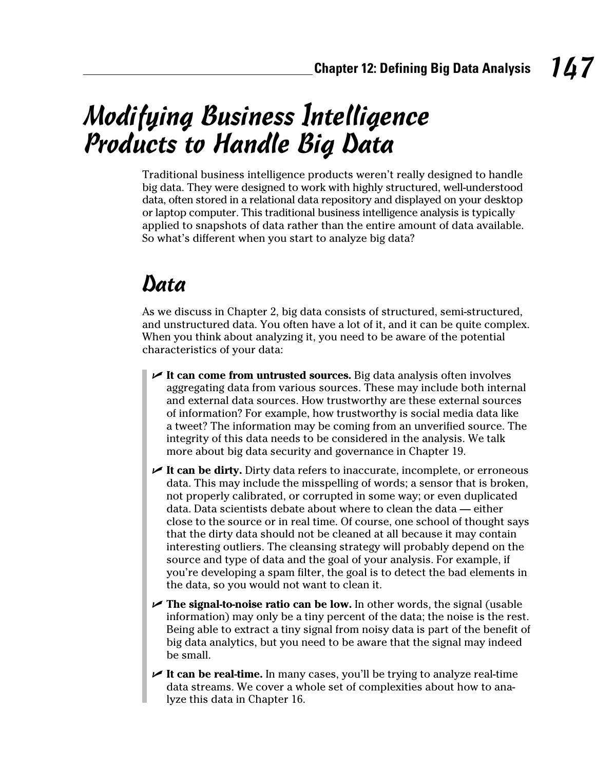## Modifying Business Intelligence Products to Handle Big Data

Traditional business intelligence products weren't really designed to handle big data. They were designed to work with highly structured, well-understood data, often stored in a relational data repository and displayed on your desktop or laptop computer. This traditional business intelligence analysis is typically applied to snapshots of data rather than the entire amount of data available. So what's different when you start to analyze big data?

#### Data

As we discuss in Chapter 2, big data consists of structured, semi-structured, and unstructured data. You often have a lot of it, and it can be quite complex. When you think about analyzing it, you need to be aware of the potential characteristics of your data:

- ✓ **It can come from untrusted sources.** Big data analysis often involves aggregating data from various sources. These may include both internal and external data sources. How trustworthy are these external sources of information? For example, how trustworthy is social media data like a tweet? The information may be coming from an unverified source. The integrity of this data needs to be considered in the analysis. We talk more about big data security and governance in Chapter 19.
- ✓ **It can be dirty.** Dirty data refers to inaccurate, incomplete, or erroneous data. This may include the misspelling of words; a sensor that is broken, not properly calibrated, or corrupted in some way; or even duplicated data. Data scientists debate about where to clean the data — either close to the source or in real time. Of course, one school of thought says that the dirty data should not be cleaned at all because it may contain interesting outliers. The cleansing strategy will probably depend on the source and type of data and the goal of your analysis. For example, if you're developing a spam filter, the goal is to detect the bad elements in the data, so you would not want to clean it.
- ✓ **The signal-to-noise ratio can be low.** In other words, the signal (usable information) may only be a tiny percent of the data; the noise is the rest. Being able to extract a tiny signal from noisy data is part of the benefit of big data analytics, but you need to be aware that the signal may indeed be small.
- ✓ **It can be real-time.** In many cases, you'll be trying to analyze real-time data streams. We cover a whole set of complexities about how to analyze this data in Chapter 16.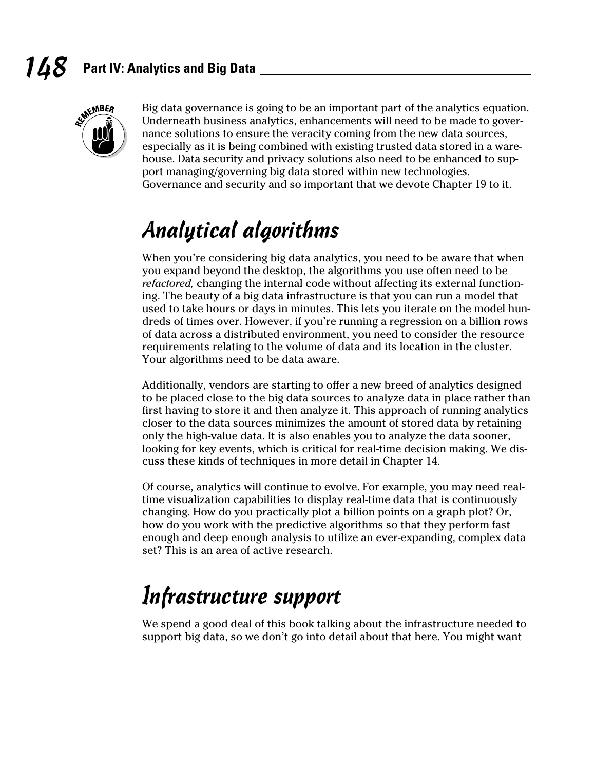

Big data governance is going to be an important part of the analytics equation. Underneath business analytics, enhancements will need to be made to governance solutions to ensure the veracity coming from the new data sources, especially as it is being combined with existing trusted data stored in a warehouse. Data security and privacy solutions also need to be enhanced to support managing/governing big data stored within new technologies. Governance and security and so important that we devote Chapter 19 to it.

## Analytical algorithms

When you're considering big data analytics, you need to be aware that when you expand beyond the desktop, the algorithms you use often need to be *refactored,* changing the internal code without affecting its external functioning. The beauty of a big data infrastructure is that you can run a model that used to take hours or days in minutes. This lets you iterate on the model hundreds of times over. However, if you're running a regression on a billion rows of data across a distributed environment, you need to consider the resource requirements relating to the volume of data and its location in the cluster. Your algorithms need to be data aware.

Additionally, vendors are starting to offer a new breed of analytics designed to be placed close to the big data sources to analyze data in place rather than first having to store it and then analyze it. This approach of running analytics closer to the data sources minimizes the amount of stored data by retaining only the high-value data. It is also enables you to analyze the data sooner, looking for key events, which is critical for real-time decision making. We discuss these kinds of techniques in more detail in Chapter 14.

Of course, analytics will continue to evolve. For example, you may need realtime visualization capabilities to display real-time data that is continuously changing. How do you practically plot a billion points on a graph plot? Or, how do you work with the predictive algorithms so that they perform fast enough and deep enough analysis to utilize an ever-expanding, complex data set? This is an area of active research.

## Infrastructure support

We spend a good deal of this book talking about the infrastructure needed to support big data, so we don't go into detail about that here. You might want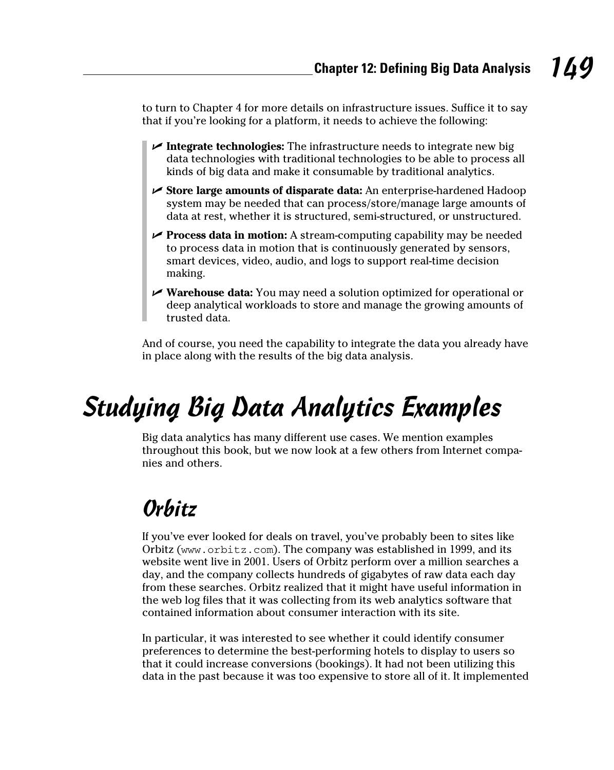to turn to Chapter 4 for more details on infrastructure issues. Suffice it to say that if you're looking for a platform, it needs to achieve the following:

- ✓ **Integrate technologies:** The infrastructure needs to integrate new big data technologies with traditional technologies to be able to process all kinds of big data and make it consumable by traditional analytics.
- ✓ **Store large amounts of disparate data:** An enterprise-hardened Hadoop system may be needed that can process/store/manage large amounts of data at rest, whether it is structured, semi-structured, or unstructured.
- ✓ **Process data in motion:** A stream-computing capability may be needed to process data in motion that is continuously generated by sensors, smart devices, video, audio, and logs to support real-time decision making.
- ✓ **Warehouse data:** You may need a solution optimized for operational or deep analytical workloads to store and manage the growing amounts of trusted data.

And of course, you need the capability to integrate the data you already have in place along with the results of the big data analysis.

## Studying Big Data Analytics Examples

Big data analytics has many different use cases. We mention examples throughout this book, but we now look at a few others from Internet companies and others.

#### Orbitz

If you've ever looked for deals on travel, you've probably been to sites like Orbitz ([www.orbitz.com](http://www.orbitz.com)). The company was established in 1999, and its website went live in 2001. Users of Orbitz perform over a million searches a day, and the company collects hundreds of gigabytes of raw data each day from these searches. Orbitz realized that it might have useful information in the web log files that it was collecting from its web analytics software that contained information about consumer interaction with its site.

In particular, it was interested to see whether it could identify consumer preferences to determine the best-performing hotels to display to users so that it could increase conversions (bookings). It had not been utilizing this data in the past because it was too expensive to store all of it. It implemented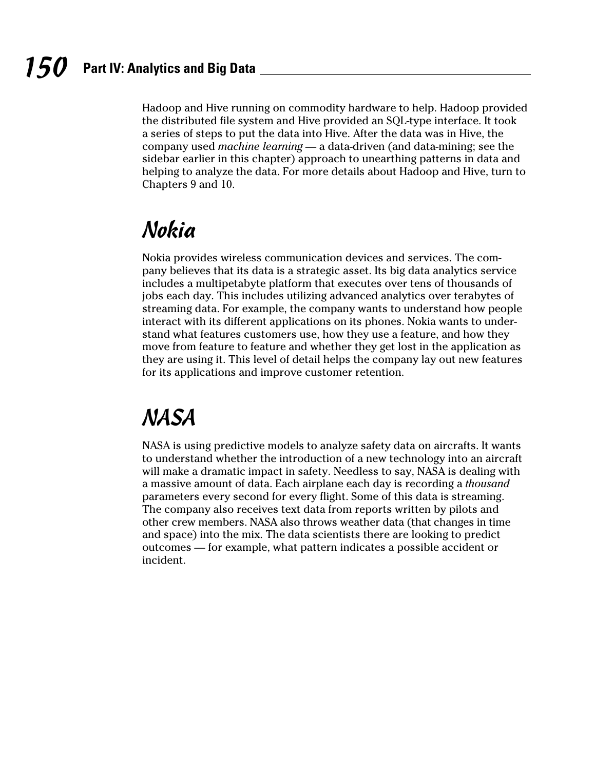Hadoop and Hive running on commodity hardware to help. Hadoop provided the distributed file system and Hive provided an SQL-type interface. It took a series of steps to put the data into Hive. After the data was in Hive, the company used *machine learning* — a data-driven (and data-mining; see the sidebar earlier in this chapter) approach to unearthing patterns in data and helping to analyze the data. For more details about Hadoop and Hive, turn to Chapters 9 and 10.

## Nokia

Nokia provides wireless communication devices and services. The company believes that its data is a strategic asset. Its big data analytics service includes a multipetabyte platform that executes over tens of thousands of jobs each day. This includes utilizing advanced analytics over terabytes of streaming data. For example, the company wants to understand how people interact with its different applications on its phones. Nokia wants to understand what features customers use, how they use a feature, and how they move from feature to feature and whether they get lost in the application as they are using it. This level of detail helps the company lay out new features for its applications and improve customer retention.

## NASA

NASA is using predictive models to analyze safety data on aircrafts. It wants to understand whether the introduction of a new technology into an aircraft will make a dramatic impact in safety. Needless to say, NASA is dealing with a massive amount of data. Each airplane each day is recording a *thousand* parameters every second for every flight. Some of this data is streaming. The company also receives text data from reports written by pilots and other crew members. NASA also throws weather data (that changes in time and space) into the mix. The data scientists there are looking to predict outcomes — for example, what pattern indicates a possible accident or incident.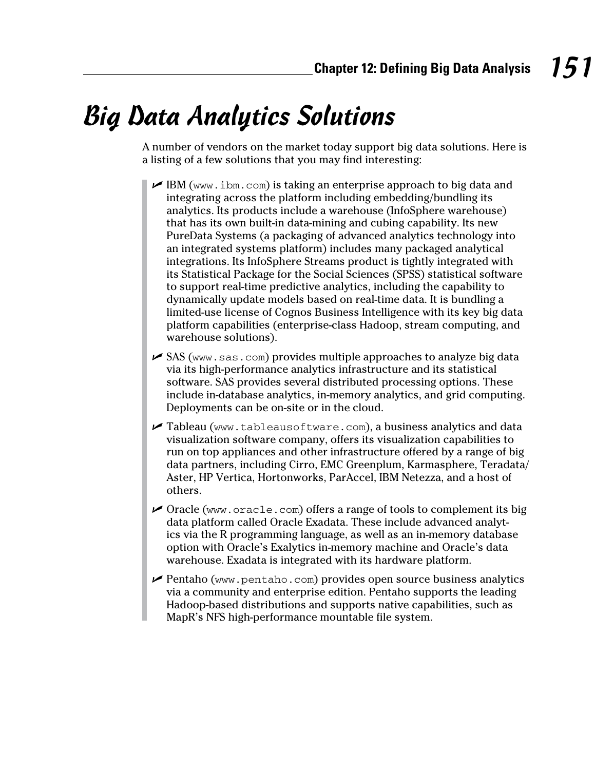## Big Data Analytics Solutions

A number of vendors on the market today support big data solutions. Here is a listing of a few solutions that you may find interesting:

- $\angle$  IBM ([www.ibm.com](http://www.ibm.com/)) is taking an enterprise approach to big data and integrating across the platform including embedding/bundling its analytics. Its products include a warehouse (InfoSphere warehouse) that has its own built-in data-mining and cubing capability. Its new PureData Systems (a packaging of advanced analytics technology into an integrated systems platform) includes many packaged analytical integrations. Its InfoSphere Streams product is tightly integrated with its Statistical Package for the Social Sciences (SPSS) statistical software to support real-time predictive analytics, including the capability to dynamically update models based on real-time data. It is bundling a limited-use license of Cognos Business Intelligence with its key big data platform capabilities (enterprise-class Hadoop, stream computing, and warehouse solutions).
- $\blacktriangleright$  SAS ([www.sas.com](http://www.sas.com/)) provides multiple approaches to analyze big data via its high-performance analytics infrastructure and its statistical software. SAS provides several distributed processing options. These include in-database analytics, in-memory analytics, and grid computing. Deployments can be on-site or in the cloud.
- $\blacktriangleright$  Tableau ([www.tableausoftware.com](http://www.tableausoftware.com/)), a business analytics and data visualization software company, offers its visualization capabilities to run on top appliances and other infrastructure offered by a range of big data partners, including Cirro, EMC Greenplum, Karmasphere, Teradata/ Aster, HP Vertica, Hortonworks, ParAccel, IBM Netezza, and a host of others.
- $\triangleright$  Oracle ([www.oracle.com](http://www.oracle.com/)) offers a range of tools to complement its big data platform called Oracle Exadata. These include advanced analytics via the R programming language, as well as an in-memory database option with Oracle's Exalytics in-memory machine and Oracle's data warehouse. Exadata is integrated with its hardware platform.
- $\triangleright$  Pentaho ([www.pentaho.com](http://www.pentaho.com/)) provides open source business analytics via a community and enterprise edition. Pentaho supports the leading Hadoop-based distributions and supports native capabilities, such as MapR's NFS high-performance mountable file system.